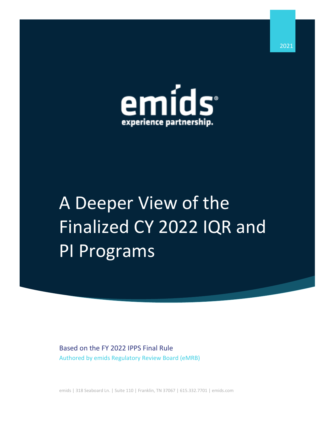

# A Deeper View of the Finalized CY 2022 IQR and PI Programs

Based on the FY 2022 IPPS Final Rule Authored by emids Regulatory Review Board (eMRB)

emids | 318 Seaboard Ln. | Suite 110 | Franklin, TN 37067 | 615.332.7701 | emids.com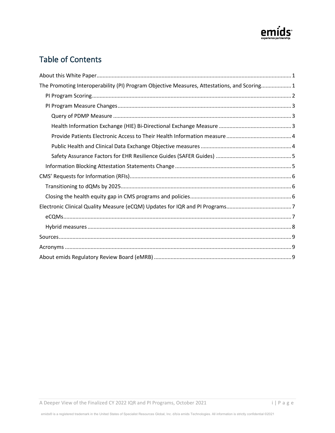

# Table of Contents

| The Promoting Interoperability (PI) Program Objective Measures, Attestations, and Scoring1 |
|--------------------------------------------------------------------------------------------|
|                                                                                            |
|                                                                                            |
|                                                                                            |
|                                                                                            |
|                                                                                            |
|                                                                                            |
|                                                                                            |
|                                                                                            |
|                                                                                            |
|                                                                                            |
|                                                                                            |
|                                                                                            |
|                                                                                            |
|                                                                                            |
|                                                                                            |
|                                                                                            |
|                                                                                            |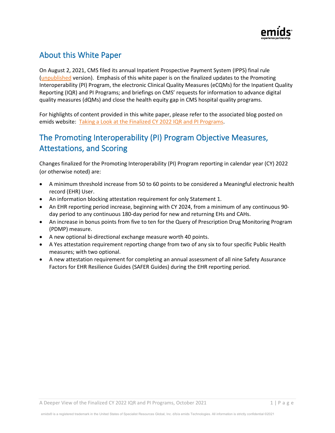

# About this White Paper

On August 2, 2021, CMS filed its annual Inpatient Prospective Payment System (IPPS) final rule [\(unpublished](https://public-inspection.federalregister.gov/2021-08888.pdf) version). Emphasis of this white paper is on the finalized updates to the Promoting Interoperability (PI) Program, the electronic Clinical Quality Measures (eCQMs) for the Inpatient Quality Reporting (IQR) and PI Programs; and briefings on CMS' requests for information to advance digital quality measures (dQMs) and close the health equity gap in CMS hospital quality programs.

For highlights of content provided in this white paper, please refer to the associated blog posted on emids website: [Taking a Look at the Finalized CY 2022 IQR and PI Programs.](https://www.emids.com/a-look-at-the-finalized-2022-iqr-and-pi-programs/)

# The Promoting Interoperability (PI) Program Objective Measures, Attestations, and Scoring

Changes finalized for the Promoting Interoperability (PI) Program reporting in calendar year (CY) 2022 (or otherwise noted) are:

- A minimum threshold increase from 50 to 60 points to be considered a Meaningful electronic health record (EHR) User.
- An information blocking attestation requirement for only Statement 1.
- An EHR reporting period increase, beginning with CY 2024, from a minimum of any continuous 90 day period to any continuous 180-day period for new and returning EHs and CAHs.
- An increase in bonus points from five to ten for the Query of Prescription Drug Monitoring Program (PDMP) measure.
- A new optional bi-directional exchange measure worth 40 points.
- A Yes attestation requirement reporting change from two of any six to four specific Public Health measures; with two optional.
- A new attestation requirement for completing an annual assessment of all nine Safety Assurance Factors for EHR Resilience Guides (SAFER Guides) during the EHR reporting period.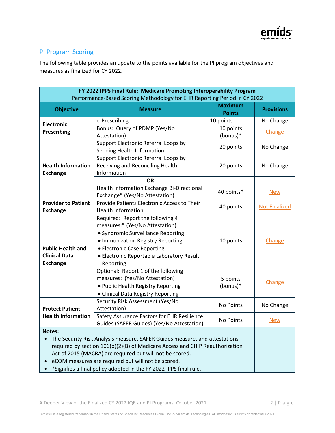

# PI Program Scoring

The following table provides an update to the points available for the PI program objectives and measures as finalized for CY 2022.

| FY 2022 IPPS Final Rule: Medicare Promoting Interoperability Program<br>Performance-Based Scoring Methodology for EHR Reporting Period in CY 2022 |                                             |                                 |                      |  |  |  |  |
|---------------------------------------------------------------------------------------------------------------------------------------------------|---------------------------------------------|---------------------------------|----------------------|--|--|--|--|
| <b>Objective</b>                                                                                                                                  | <b>Measure</b>                              | <b>Maximum</b><br><b>Points</b> | <b>Provisions</b>    |  |  |  |  |
|                                                                                                                                                   | e-Prescribing                               | 10 points                       | No Change            |  |  |  |  |
| <b>Electronic</b><br>Prescribing                                                                                                                  | Bonus: Query of PDMP (Yes/No                | 10 points                       |                      |  |  |  |  |
|                                                                                                                                                   | Attestation)                                | (bonus)*                        | Change               |  |  |  |  |
|                                                                                                                                                   | Support Electronic Referral Loops by        | 20 points                       |                      |  |  |  |  |
|                                                                                                                                                   | Sending Health Information                  |                                 | No Change            |  |  |  |  |
|                                                                                                                                                   | Support Electronic Referral Loops by        |                                 | No Change            |  |  |  |  |
| <b>Health Information</b>                                                                                                                         | Receiving and Reconciling Health            | 20 points                       |                      |  |  |  |  |
| <b>Exchange</b>                                                                                                                                   | Information                                 |                                 |                      |  |  |  |  |
|                                                                                                                                                   | <b>OR</b>                                   |                                 |                      |  |  |  |  |
|                                                                                                                                                   | Health Information Exchange Bi-Directional  | 40 points*                      | <b>New</b>           |  |  |  |  |
|                                                                                                                                                   | Exchange* (Yes/No Attestation)              |                                 |                      |  |  |  |  |
| <b>Provider to Patient</b>                                                                                                                        | Provide Patients Electronic Access to Their | 40 points                       | <b>Not Finalized</b> |  |  |  |  |
| <b>Exchange</b>                                                                                                                                   | <b>Health Information</b>                   |                                 |                      |  |  |  |  |
|                                                                                                                                                   | Required: Report the following 4            |                                 | Change               |  |  |  |  |
|                                                                                                                                                   | measures:* (Yes/No Attestation)             |                                 |                      |  |  |  |  |
|                                                                                                                                                   | • Syndromic Surveillance Reporting          |                                 |                      |  |  |  |  |
|                                                                                                                                                   | • Immunization Registry Reporting           | 10 points                       |                      |  |  |  |  |
| <b>Public Health and</b>                                                                                                                          | • Electronic Case Reporting                 |                                 |                      |  |  |  |  |
| <b>Clinical Data</b>                                                                                                                              | · Electronic Reportable Laboratory Result   |                                 |                      |  |  |  |  |
| <b>Exchange</b>                                                                                                                                   | Reporting                                   |                                 |                      |  |  |  |  |
|                                                                                                                                                   | Optional: Report 1 of the following         |                                 |                      |  |  |  |  |
|                                                                                                                                                   | measures: (Yes/No Attestation)              | 5 points                        | Change               |  |  |  |  |
|                                                                                                                                                   | . Public Health Registry Reporting          | (bonus)*                        |                      |  |  |  |  |
|                                                                                                                                                   | • Clinical Data Registry Reporting          |                                 |                      |  |  |  |  |
|                                                                                                                                                   | Security Risk Assessment (Yes/No            | No Points                       | No Change            |  |  |  |  |
| <b>Protect Patient</b>                                                                                                                            | Attestation)                                |                                 |                      |  |  |  |  |
| <b>Health Information</b>                                                                                                                         | Safety Assurance Factors for EHR Resilience | No Points                       |                      |  |  |  |  |
|                                                                                                                                                   | Guides (SAFER Guides) (Yes/No Attestation)  |                                 | <u>New</u>           |  |  |  |  |
| <b>Notes:</b>                                                                                                                                     |                                             |                                 |                      |  |  |  |  |
| The Security Risk Analysis measure, SAFER Guides measure, and attestations                                                                        |                                             |                                 |                      |  |  |  |  |
| required by section 106(b)(2)(B) of Medicare Access and CHIP Reauthorization                                                                      |                                             |                                 |                      |  |  |  |  |
| Act of 2015 (MACRA) are required but will not be scored.                                                                                          |                                             |                                 |                      |  |  |  |  |
| eCQM measures are required but will not be scored.                                                                                                |                                             |                                 |                      |  |  |  |  |
| *Signifies a final policy adopted in the FY 2022 IPPS final rule.                                                                                 |                                             |                                 |                      |  |  |  |  |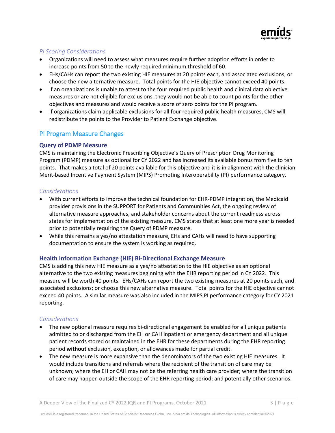

## *PI Scoring Considerations*

- Organizations will need to assess what measures require further adoption efforts in order to increase points from 50 to the newly required minimum threshold of 60.
- EHs/CAHs can report the two existing HIE measures at 20 points each, and associated exclusions; or choose the new alternative measure. Total points for the HIE objective cannot exceed 40 points.
- If an organizations is unable to attest to the four required public health and clinical data objective measures or are not eligible for exclusions, they would not be able to count points for the other objectives and measures and would receive a score of zero points for the PI program.
- If organizations claim applicable exclusions for all four required public health measures, CMS will redistribute the points to the Provider to Patient Exchange objective.

## PI Program Measure Changes

## **Query of PDMP Measure**

CMS is maintaining the Electronic Prescribing Objective's Query of Prescription Drug Monitoring Program (PDMP) measure as optional for CY 2022 and has increased its available bonus from five to ten points. That makes a total of 20 points available for this objective and it is in alignment with the clinician Merit-based Incentive Payment System (MIPS) Promoting Interoperability (PI) performance category.

## *Considerations*

- With current efforts to improve the technical foundation for EHR-PDMP integration, the Medicaid provider provisions in the SUPPORT for Patients and Communities Act, the ongoing review of alternative measure approaches, and stakeholder concerns about the current readiness across states for implementation of the existing measure, CMS states that at least one more year is needed prior to potentially requiring the Query of PDMP measure.
- While this remains a yes/no attestation measure, EHs and CAHs will need to have supporting documentation to ensure the system is working as required.

## **Health Information Exchange (HIE) Bi-Directional Exchange Measure**

CMS is adding this new HIE measure as a yes/no attestation to the HIE objective as an optional alternative to the two existing measures beginning with the EHR reporting period in CY 2022. This measure will be worth 40 points. EHs/CAHs can report the two existing measures at 20 points each, and associated exclusions; or choose this new alternative measure. Total points for the HIE objective cannot exceed 40 points. A similar measure was also included in the MIPS PI performance category for CY 2021 reporting.

- The new optional measure requires bi-directional engagement be enabled for all unique patients admitted to or discharged from the EH or CAH inpatient or emergency department and all unique patient records stored or maintained in the EHR for these departments during the EHR reporting period **without** exclusion, exception, or allowances made for partial credit.
- The new measure is more expansive than the denominators of the two existing HIE measures. It would include transitions and referrals where the recipient of the transition of care may be unknown; where the EH or CAH may not be the referring health care provider; where the transition of care may happen outside the scope of the EHR reporting period; and potentially other scenarios.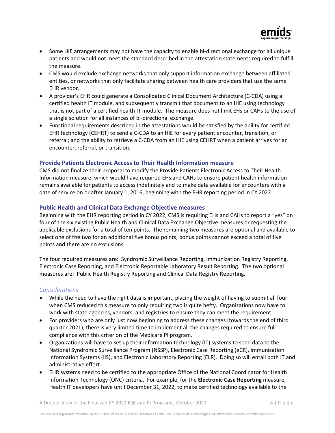

- Some HIE arrangements may not have the capacity to enable bi-directional exchange for all unique patients and would not meet the standard described in the attestation statements required to fulfill the measure.
- CMS would exclude exchange networks that only support information exchange between affiliated entities, or networks that only facilitate sharing between health care providers that use the same EHR vendor.
- A provider's EHR could generate a Consolidated Clinical Document Architecture (C-CDA) using a certified health IT module, and subsequently transmit that document to an HIE using technology that is not part of a certified health IT module. The measure does not limit EHs or CAHs to the use of a single solution for all instances of bi-directional exchange.
- Functional requirements described in the attestations would be satisfied by the ability for certified EHR technology (CEHRT) to send a C-CDA to an HIE for every patient encounter, transition, or referral; and the ability to retrieve a C-CDA from an HIE using CEHRT when a patient arrives for an encounter, referral, or transition.

#### **Provide Patients Electronic Access to Their Health Information measure**

CMS did not finalize their proposal to modify the Provide Patients Electronic Access to Their Health Information measure, which would have required EHs and CAHs to ensure patient health information remains available for patients to access indefinitely and to make data available for encounters with a date of service on or after January 1, 2016, beginning with the EHR reporting period in CY 2022.

#### **Public Health and Clinical Data Exchange Objective measures**

Beginning with the EHR reporting period in CY 2022, CMS is requiring EHs and CAHs to report a "yes" on four of the six existing Public Health and Clinical Data Exchange Objective measures or requesting the applicable exclusions for a total of ten points. The remaining two measures are optional and available to select one of the two for an additional five bonus points; bonus points cannot exceed a total of five points and there are no exclusions.

The four required measures are: Syndromic Surveillance Reporting, Immunization Registry Reporting, Electronic Case Reporting, and Electronic Reportable Laboratory Result Reporting. The two optional measures are: Public Health Registry Reporting and Clinical Data Registry Reporting.

- While the need to have the right data is important, placing the weight of having to submit all four when CMS reduced this measure to only requiring two is quite hefty. Organizations now have to work with state agencies, vendors, and registries to ensure they can meet the requirement.
- For providers who are only just now beginning to address these changes (towards the end of third quarter 2021), there is very limited time to implement all the changes required to ensure full compliance with this criterion of the Medicare PI program.
- Organizations will have to set up their information technology (IT) systems to send data to the National Syndromic Surveillance Program (NSSP), Electronic Case Reporting (eCR), Immunization Information Systems (IIS), and Electronic Laboratory Reporting (ELR). Doing so will entail both IT and administrative effort.
- EHR systems need to be certified to the appropriate Office of the National Coordinator for Health Information Technology (ONC) criteria. For example, for the **Electronic Case Reporting** measure, Health IT developers have until December 31, 2022, to make certified technology available to the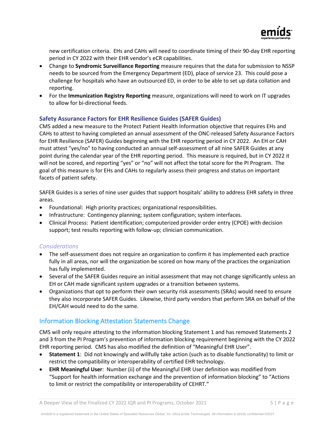

new certification criteria. EHs and CAHs will need to coordinate timing of their 90-day EHR reporting period in CY 2022 with their EHR vendor's eCR capabilities.

- Change to **Syndromic Surveillance Reporting** measure requires that the data for submission to NSSP needs to be sourced from the Emergency Department (ED), place of service 23. This could pose a challenge for hospitals who have an outsourced ED, in order to be able to set up data collation and reporting.
- For the **Immunization Registry Reporting** measure, organizations will need to work on IT upgrades to allow for bi-directional feeds.

## **Safety Assurance Factors for EHR Resilience Guides (SAFER Guides)**

CMS added a new measure to the Protect Patient Health Information objective that requires EHs and CAHs to attest to having completed an annual assessment of the ONC-released Safety Assurance Factors for EHR Resilience (SAFER) Guides beginning with the EHR reporting period in CY 2022. An EH or CAH must attest "yes/no" to having conducted an annual self-assessment of all nine SAFER Guides at any point during the calendar year of the EHR reporting period. This measure is required, but in CY 2022 it will not be scored, and reporting "yes" or "no" will not affect the total score for the PI Program. The goal of this measure is for EHs and CAHs to regularly assess their progress and status on important facets of patient safety.

SAFER Guides is a series of nine user guides that support hospitals' ability to address EHR safety in three areas.

- Foundational: High priority practices; organizational responsibilities.
- Infrastructure: Contingency planning; system configuration; system interfaces.
- Clinical Process: Patient identification; computerized provider order entry (CPOE) with decision support; test results reporting with follow-up; clinician communication.

#### *Considerations*

- The self-assessment does not require an organization to confirm it has implemented each practice fully in all areas, nor will the organization be scored on how many of the practices the organization has fully implemented.
- Several of the SAFER Guides require an initial assessment that may not change significantly unless an EH or CAH made significant system upgrades or a transition between systems.
- Organizations that opt to perform their own security risk assessments (SRAs) would need to ensure they also incorporate SAFER Guides. Likewise, third party vendors that perform SRA on behalf of the EH/CAH would need to do the same.

# Information Blocking Attestation Statements Change

CMS will only require attesting to the information blocking Statement 1 and has removed Statements 2 and 3 from the PI Program's prevention of information blocking requirement beginning with the CY 2022 EHR reporting period. CMS has also modified the definition of "Meaningful EHR User".

- **Statement 1**: Did not knowingly and willfully take action (such as to disable functionality) to limit or restrict the compatibility or interoperability of certified EHR technology.
- **EHR Meaningful User**: Number (ii) of the Meaningful EHR User definition was modified from "Support for health information exchange and the prevention of information blocking" to "Actions to limit or restrict the compatibility or interoperability of CEHRT."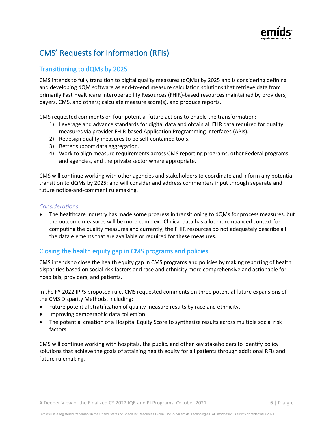

# CMS' Requests for Information (RFIs)

# Transitioning to dQMs by 2025

CMS intends to fully transition to digital quality measures (dQMs) by 2025 and is considering defining and developing dQM software as end-to-end measure calculation solutions that retrieve data from primarily Fast Healthcare Interoperability Resources (FHIR)-based resources maintained by providers, payers, CMS, and others; calculate measure score(s), and produce reports.

CMS requested comments on four potential future actions to enable the transformation:

- 1) Leverage and advance standards for digital data and obtain all EHR data required for quality measures via provider FHIR-based Application Programming Interfaces (APIs).
- 2) Redesign quality measures to be self-contained tools.
- 3) Better support data aggregation.
- 4) Work to align measure requirements across CMS reporting programs, other Federal programs and agencies, and the private sector where appropriate.

CMS will continue working with other agencies and stakeholders to coordinate and inform any potential transition to dQMs by 2025; and will consider and address commenters input through separate and future notice-and-comment rulemaking.

## *Considerations*

• The healthcare industry has made some progress in transitioning to dQMs for process measures, but the outcome measures will be more complex. Clinical data has a lot more nuanced context for computing the quality measures and currently, the FHIR resources do not adequately describe all the data elements that are available or required for these measures.

# Closing the health equity gap in CMS programs and policies

CMS intends to close the health equity gap in CMS programs and policies by making reporting of health disparities based on social risk factors and race and ethnicity more comprehensive and actionable for hospitals, providers, and patients.

In the FY 2022 IPPS proposed rule, CMS requested comments on three potential future expansions of the CMS Disparity Methods, including:

- Future potential stratification of quality measure results by race and ethnicity.
- Improving demographic data collection.
- The potential creation of a Hospital Equity Score to synthesize results across multiple social risk factors.

CMS will continue working with hospitals, the public, and other key stakeholders to identify policy solutions that achieve the goals of attaining health equity for all patients through additional RFIs and future rulemaking.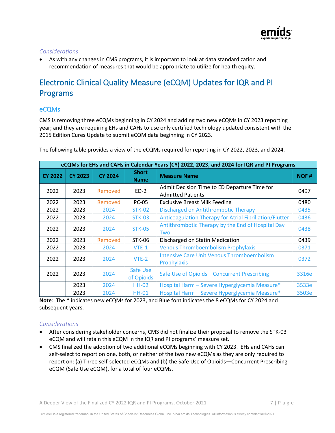#### *Considerations*

• As with any changes in CMS programs, it is important to look at data standardization and recommendation of measures that would be appropriate to utilize for health equity.

# Electronic Clinical Quality Measure (eCQM) Updates for IQR and PI Programs

# eCQMs

CMS is removing three eCQMs beginning in CY 2024 and adding two new eCQMs in CY 2023 reporting year; and they are requiring EHs and CAHs to use only certified technology updated consistent with the 2015 Edition Cures Update to submit eCQM data beginning in CY 2023.

| eCQMs for EHs and CAHs in Calendar Years (CY) 2022, 2023, and 2024 for IQR and PI Programs |                |                |                             |                                                                          |             |  |  |
|--------------------------------------------------------------------------------------------|----------------|----------------|-----------------------------|--------------------------------------------------------------------------|-------------|--|--|
| <b>CY 2022</b>                                                                             | <b>CY 2023</b> | <b>CY 2024</b> | <b>Short</b><br><b>Name</b> | <b>Measure Name</b>                                                      | <b>NQF#</b> |  |  |
| 2022                                                                                       | 2023           | Removed        | $ED-2$                      | Admit Decision Time to ED Departure Time for<br><b>Admitted Patients</b> | 0497        |  |  |
| 2022                                                                                       | 2023           | Removed        | <b>PC-05</b>                | <b>Exclusive Breast Milk Feeding</b>                                     | 0480        |  |  |
| 2022                                                                                       | 2023           | 2024           | <b>STK-02</b>               | Discharged on Antithrombotic Therapy                                     | 0435        |  |  |
| 2022                                                                                       | 2023           | 2024           | <b>STK-03</b>               | Anticoagulation Therapy for Atrial Fibrillation/Flutter                  | 0436        |  |  |
| 2022                                                                                       | 2023           | 2024           | <b>STK-05</b>               | Antithrombotic Therapy by the End of Hospital Day<br>Two                 | 0438        |  |  |
| 2022                                                                                       | 2023           | Removed        | STK-06                      | Discharged on Statin Medication                                          | 0439        |  |  |
| 2022                                                                                       | 2023           | 2024           | $VTE-1$                     | <b>Venous Thromboembolism Prophylaxis</b>                                | 0371        |  |  |
| 2022                                                                                       | 2023           | 2024           | $VTE-2$                     | <b>Intensive Care Unit Venous Thromboembolism</b><br>Prophylaxis         | 0372        |  |  |
| 2022                                                                                       | 2023           | 2024           | Safe Use<br>of Opioids      | Safe Use of Opioids - Concurrent Prescribing                             | 3316e       |  |  |
|                                                                                            | 2023           | 2024           | <b>HH-02</b>                | Hospital Harm - Severe Hyperglycemia Measure*                            | 3533e       |  |  |
|                                                                                            | 2023           | 2024           | <b>HH-01</b>                | Hospital Harm - Severe Hyperglycemia Measure*                            | 3503e       |  |  |

The following table provides a view of the eCQMs required for reporting in CY 2022, 2023, and 2024.

**Note**: The \* indicates new eCQMs for 2023, and Blue font indicates the 8 eCQMs for CY 2024 and subsequent years.

- After considering stakeholder concerns, CMS did not finalize their proposal to remove the STK-03 eCQM and will retain this eCQM in the IQR and PI programs' measure set.
- CMS finalized the adoption of two additional eCQMs beginning with CY 2023. EHs and CAHs can self-select to report on one, both, or neither of the two new eCQMs as they are only required to report on: (a) Three self-selected eCQMs and (b) the Safe Use of Opioids—Concurrent Prescribing eCQM (Safe Use eCQM), for a total of four eCQMs.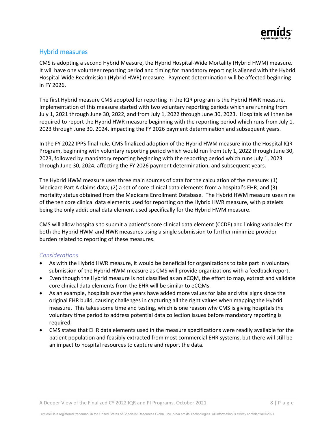

## Hybrid measures

CMS is adopting a second Hybrid Measure, the Hybrid Hospital-Wide Mortality (Hybrid HWM) measure. It will have one volunteer reporting period and timing for mandatory reporting is aligned with the Hybrid Hospital-Wide Readmission (Hybrid HWR) measure. Payment determination will be affected beginning in FY 2026.

The first Hybrid measure CMS adopted for reporting in the IQR program is the Hybrid HWR measure. Implementation of this measure started with two voluntary reporting periods which are running from July 1, 2021 through June 30, 2022, and from July 1, 2022 through June 30, 2023. Hospitals will then be required to report the Hybrid HWR measure beginning with the reporting period which runs from July 1, 2023 through June 30, 2024, impacting the FY 2026 payment determination and subsequent years.

In the FY 2022 IPPS final rule, CMS finalized adoption of the Hybrid HWM measure into the Hospital IQR Program, beginning with voluntary reporting period which would run from July 1, 2022 through June 30, 2023, followed by mandatory reporting beginning with the reporting period which runs July 1, 2023 through June 30, 2024, affecting the FY 2026 payment determination, and subsequent years.

The Hybrid HWM measure uses three main sources of data for the calculation of the measure: (1) Medicare Part A claims data; (2) a set of core clinical data elements from a hospital's EHR; and (3) mortality status obtained from the Medicare Enrollment Database. The Hybrid HWM measure uses nine of the ten core clinical data elements used for reporting on the Hybrid HWR measure, with platelets being the only additional data element used specifically for the Hybrid HWM measure.

CMS will allow hospitals to submit a patient's core clinical data element (CCDE) and linking variables for both the Hybrid HWM and HWR measures using a single submission to further minimize provider burden related to reporting of these measures.

- As with the Hybrid HWR measure, it would be beneficial for organizations to take part in voluntary submission of the Hybrid HWM measure as CMS will provide organizations with a feedback report.
- Even though the Hybrid measure is not classified as an eCQM, the effort to map, extract and validate core clinical data elements from the EHR will be similar to eCQMs.
- As an example, hospitals over the years have added more values for labs and vital signs since the original EHR build, causing challenges in capturing all the right values when mapping the Hybrid measure. This takes some time and testing, which is one reason why CMS is giving hospitals the voluntary time period to address potential data collection issues before mandatory reporting is required.
- CMS states that EHR data elements used in the measure specifications were readily available for the patient population and feasibly extracted from most commercial EHR systems, but there will still be an impact to hospital resources to capture and report the data.